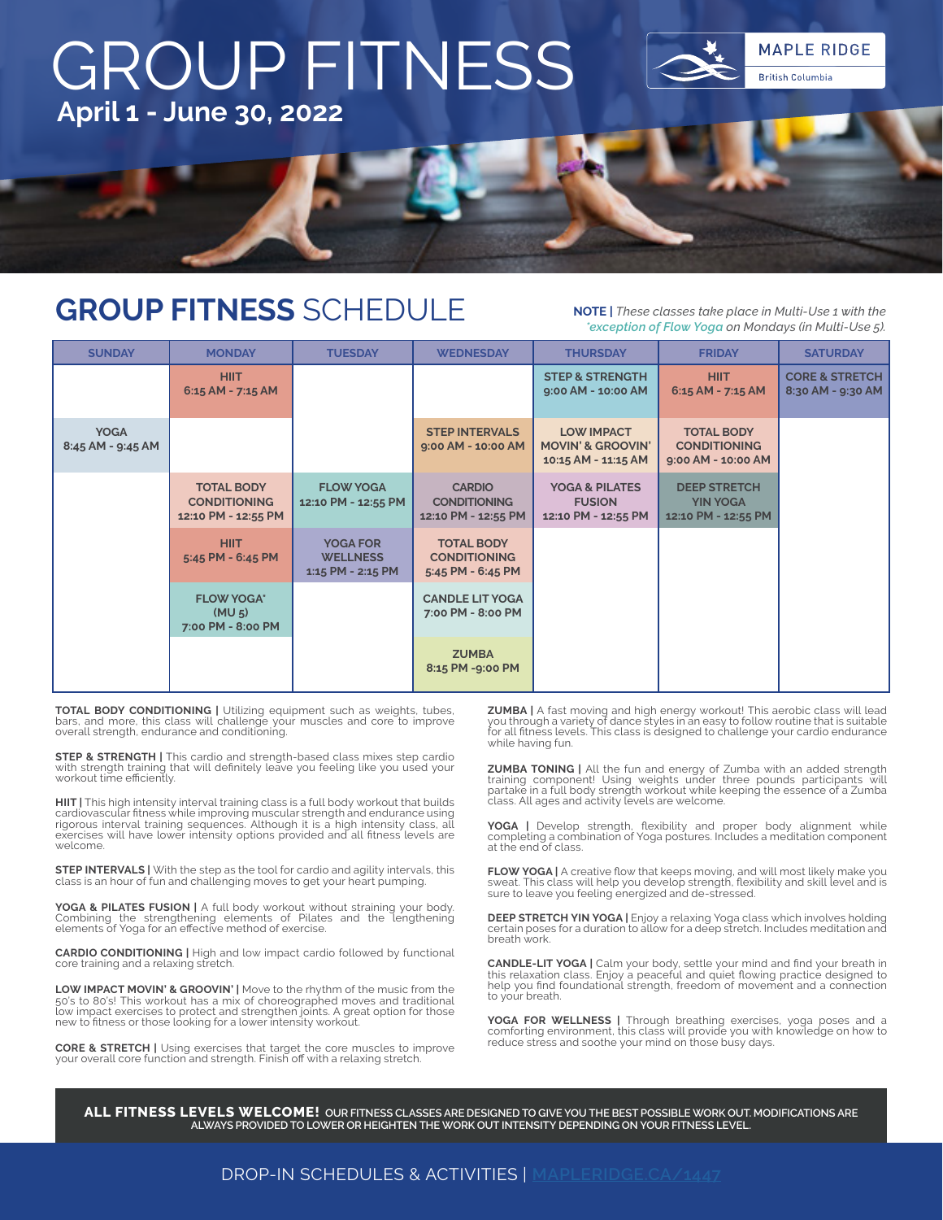

### **GROUP FITNESS** SCHEDULE **NOTE |** *These classes take place in Multi-Use 1 with the*

*\*exception of Flow Yoga on Mondays (in Multi-Use 5).* 

| <b>SUNDAY</b>                    | <b>MONDAY</b>                                                   | <b>TUESDAY</b>                                          | <b>WEDNESDAY</b>                                              | <b>THURSDAY</b>                                                          | <b>FRIDAY</b>                                                  | <b>SATURDAY</b>                                |
|----------------------------------|-----------------------------------------------------------------|---------------------------------------------------------|---------------------------------------------------------------|--------------------------------------------------------------------------|----------------------------------------------------------------|------------------------------------------------|
|                                  | <b>HIIT</b><br>$6:15$ AM - 7:15 AM                              |                                                         |                                                               | <b>STEP &amp; STRENGTH</b><br>9:00 AM - 10:00 AM                         | <b>HIIT</b><br>6:15 AM - 7:15 AM                               | <b>CORE &amp; STRETCH</b><br>8:30 AM - 9:30 AM |
| <b>YOGA</b><br>8:45 AM - 9:45 AM |                                                                 |                                                         | <b>STEP INTERVALS</b><br>9:00 AM - 10:00 AM                   | <b>LOW IMPACT</b><br><b>MOVIN' &amp; GROOVIN'</b><br>10:15 AM - 11:15 AM | <b>TOTAL BODY</b><br><b>CONDITIONING</b><br>9:00 AM - 10:00 AM |                                                |
|                                  | <b>TOTAL BODY</b><br><b>CONDITIONING</b><br>12:10 PM - 12:55 PM | <b>FLOW YOGA</b><br>12:10 PM - 12:55 PM                 | <b>CARDIO</b><br><b>CONDITIONING</b><br>12:10 PM - 12:55 PM   | <b>YOGA &amp; PILATES</b><br><b>FUSION</b><br>12:10 PM - 12:55 PM        | <b>DEEP STRETCH</b><br><b>YIN YOGA</b><br>12:10 PM - 12:55 PM  |                                                |
|                                  | <b>HIIT</b><br>5:45 PM - 6:45 PM                                | <b>YOGA FOR</b><br><b>WELLNESS</b><br>1:15 PM - 2:15 PM | <b>TOTAL BODY</b><br><b>CONDITIONING</b><br>5:45 PM - 6:45 PM |                                                                          |                                                                |                                                |
|                                  | <b>FLOW YOGA*</b><br>(MU <sub>5</sub> )<br>7:00 PM - 8:00 PM    |                                                         | <b>CANDLE LIT YOGA</b><br>7:00 PM - 8:00 PM                   |                                                                          |                                                                |                                                |
|                                  |                                                                 |                                                         | <b>ZUMBA</b><br>8:15 PM -9:00 PM                              |                                                                          |                                                                |                                                |

**TOTAL BODY CONDITIONING |** Utilizing equipment such as weights, tubes, bars, and more, this class will challenge your muscles and core to improve overall strength, endurance and conditioning.

**STEP & STRENGTH | This cardio and strength-based class mixes step cardio** with strength training that will definitely leave you feeling like you used your workout time efficiently.

**HIIT |** This high intensity interval training class is a full body workout that builds cardiovascular fitness while improving muscular strength and endurance using rigorous interval training sequences. Although it is a high intensity class, all exercises will have lower intensity options provided and all fitness levels are welcome.

**STEP INTERVALS |** With the step as the tool for cardio and agility intervals, this class is an hour of fun and challenging moves to get your heart pumping

**YOGA & PILATES FUSION |** A full body workout without straining your body. Combining the strengthening elements of Pilates and the lengthening elements of Yoga for an effective method of exercise.

**CARDIO CONDITIONING |** High and low impact cardio followed by functional core training and a relaxing stretch.

**LOW IMPACT MOVIN' & GROOVIN' |** Move to the rhythm of the music from the 50's to 80's! This workout has a mix of choreographed moves and traditional low impact exercises to protect and strengthen joints. A great option for those new to fitness or those looking for a lower intensity workout.

**CORE & STRETCH |** Using exercises that target the core muscles to improve your overall core function and strength. Finish off with a relaxing stretch.

**ZUMBA |** A fast moving and high energy workout! This aerobic class will lead you through a variety of dance styles in an easy to follow routine that is suitable for all fitness levels. This class is designed to challenge your cardio endurance while having fun.

**ZUMBA TONING |** All the fun and energy of Zumba with an added strength training component! Using weights under three pounds participants will partake in a full body strength workout while keeping the essence of a Zumba class. All ages and activity levels are welcome.

**YOGA |** Develop strength, flexibility and proper body alignment while completing a combination of Yoga postures. Includes a meditation component at the end of class.

**FLOW YOGA |** A creative flow that keeps moving, and will most likely make you sweat. This class will help you develop strength, flexibility and skill level and is sure to leave you feeling energized and de-stressed.

**DEEP STRETCH YIN YOGA |** Enjoy a relaxing Yoga class which involves holding certain poses for a duration to allow for a deep stretch. Includes meditation and breath work.

**CANDLE-LIT YOGA |** Calm your body, settle your mind and find your breath in<br>this relaxation class. Enjoy a peaceful and quiet flowing practice designed to<br>help you find foundational strength, freedom of movement and a con to your breath.

**YOGA FOR WELLNESS |** Through breathing exercises, yoga poses and a comforting environment, this class will provide you with knowledge on how to reduce stress and soothe your mind on those busy days.

**ALL FITNESS LEVELS WELCOME! OUR FITNESS CLASSES ARE DESIGNED TO GIVE YOU THE BEST POSSIBLE WORK OUT. MODIFICATIONS ARE ALWAYS PROVIDED TO LOWER OR HEIGHTEN THE WORK OUT INTENSITY DEPENDING ON YOUR FITNESS LEVEL.**

#### DROP-IN SCHEDULES & ACTIVITIES | **[MAPLERIDGE.CA/1447](http://www.mapleridge.ca/1447)**